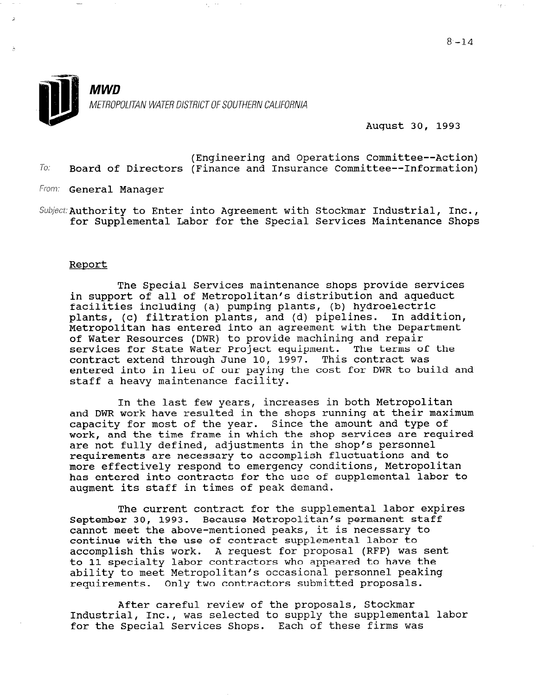

August 30, 1993

(Engineering and Operations Committee--Action)  $To:$  Board of Directors (Finance and Insurance Committee--Information)

From: General Manager

Subject: Authority to Enter into Agreement with Stockmar Industrial, Inc., for Supplemental Labor for the Special Services Maintenance Shops

#### Report

The Special Services maintenance shops provide services in support of all of Metropolitan's distribution and aqueduct facilities including (a) pumping plants, (b) hydroelectric plants, (c) filtration plants, and (d) pipelines. In addition, Metropolitan has entered into an agreement with the Department of Water Resources (DWR) to provide machining and repair services for State Water Project equipment. The terms of the contract extend through June 10, 1997. This contract was entered into in lieu of our paying the cost for DWR to build and staff a heavy maintenance facility.

In the last few years, increases in both Metropolitan and DWR work have resulted in the shops running at their maximum capacity for most of the year. Since the amount and type of work, and the time frame in which the shop services are required are not fully defined, adjustments in the shop's personnel requirements are necessary to accomplish fluctuations and to more effectively respond to emergency conditions, Metropolitan has entered into contracts for the use of supplemental labor to augment its staff in times of peak demand.

The current contract for the supplemental labor expires September 30, 1993. Because Metropolitan's permanent staff cannot meet the above-mentioned peaks, it is necessary to cannot meet the above-mentioned peaks, it is necessary continue with the use of contract supplemental labor to<br>accomplish this work. A request for proposal (RFP) was sent decomplish this work. A request for proposal (KPP) was seen to il specialty fabor contractors who appeared to have the ability to meet Metropolitan's occasional personnel peaking<br>requirements. Only two contractors submitted proposals.

 $\overline{A}$ AITEP CAPETUL PEVIEW OF THE PROPOSALS, SLOCKMAP<br>Inc., was selected to supply the supplemental labo Industrial, Inc., was selected to supply the supplemental labor<br>for the Special Services Shops. Each of these firms was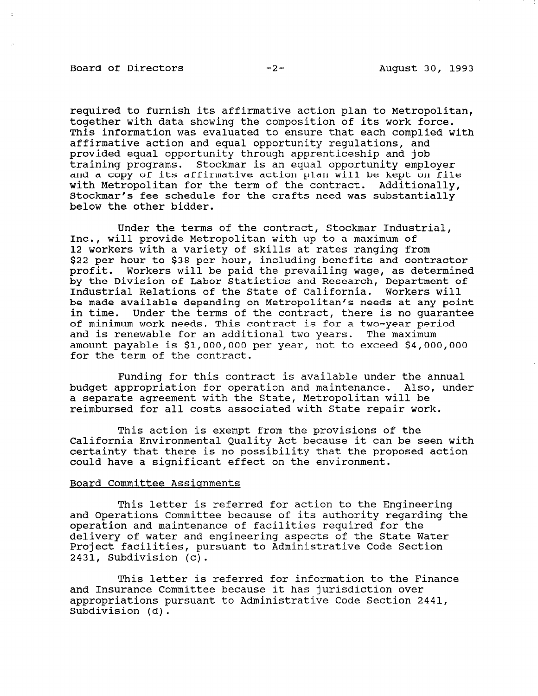# Board of Directors -2- August 30, 1993

required to furnish its affirmative action plan to Metropolitan, together with data showing the composition of its work force. This information was evaluated to ensure that each complied with affirmative action and equal opportunity regulations, and provided equal opportunity through apprenticeship and job training programs. Stockmar is an equal opportunity employer and a copy of its affirmative action plan will be kept on file with Metropolitan for the term of the contract. Additionally, Stockmar's fee schedule for the crafts need was substantially below the other bidder.

Under the terms of the contract, Stockmar Industrial, Inc., will provide Metropolitan with up to a maximum of 12 workers with a variety of skills at rates ranging from \$22 per hour to \$38 per hour, including benefits and contractor profit. Workers will be paid the prevailing wage, as determined by the Division of Labor Statistics and Research, Department of Industrial Relations of the State of California. Workers will be made available depending on Metropolitan's needs at any point in time. Under the terms of the contract, there is no guarantee of minimum work needs. This contract is for a two-year period and is renewable for an additional two years. The maximum amount payable is \$l,OOO,OOO per year, not to exceed \$4,000,000 for the term of the contract.

Funding for this contract is available under the annual budget appropriation for operation and maintenance. Also, under a separate agreement with the State, Metropolitan will be reimbursed for all costs associated with State repair work.

This action is exempt from the provisions of the California Environmental Quality Act because it can be seen with certainty that there is no possibility that the proposed action could have a significant effect on the environment.

#### Board Committee Assignments

This letter is referred for action to the Engineering and Operations Committee because of its authority regarding the operation and maintenance of facilities required for the operation and maintenance of facilities required for the delivery of water and engineering aspects of the State Water Project facilities, pursuant to Administrative Code Section<br>2431, Subdivision (c).

This letter is referred for information to the Finance and Insurance Is referred for information to the f and Insurance Committee because it has jurisuiction over appropriations pursuant to Administrative Code Section 2441,<br>Subdivision (d).